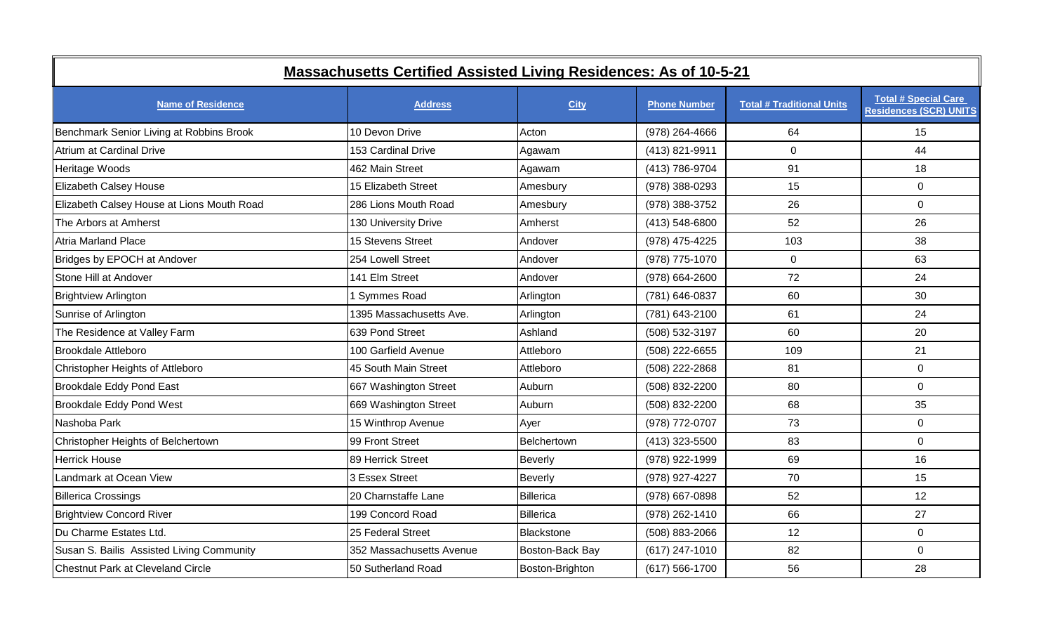| <b>Massachusetts Certified Assisted Living Residences: As of 10-5-21</b> |                          |                 |                     |                                  |                                                              |  |  |
|--------------------------------------------------------------------------|--------------------------|-----------------|---------------------|----------------------------------|--------------------------------------------------------------|--|--|
| <b>Name of Residence</b>                                                 | <b>Address</b>           | <b>City</b>     | <b>Phone Number</b> | <b>Total # Traditional Units</b> | <b>Total # Special Care</b><br><b>Residences (SCR) UNITS</b> |  |  |
| Benchmark Senior Living at Robbins Brook                                 | 10 Devon Drive           | Acton           | (978) 264-4666      | 64                               | 15                                                           |  |  |
| Atrium at Cardinal Drive                                                 | 153 Cardinal Drive       | Agawam          | (413) 821-9911      | $\Omega$                         | 44                                                           |  |  |
| Heritage Woods                                                           | 462 Main Street          | Agawam          | (413) 786-9704      | 91                               | 18                                                           |  |  |
| Elizabeth Calsey House                                                   | 15 Elizabeth Street      | Amesbury        | (978) 388-0293      | 15                               | $\overline{0}$                                               |  |  |
| Elizabeth Calsey House at Lions Mouth Road                               | 286 Lions Mouth Road     | Amesbury        | (978) 388-3752      | 26                               | $\overline{0}$                                               |  |  |
| The Arbors at Amherst                                                    | 130 University Drive     | Amherst         | (413) 548-6800      | 52                               | 26                                                           |  |  |
| <b>Atria Marland Place</b>                                               | 15 Stevens Street        | Andover         | (978) 475-4225      | 103                              | 38                                                           |  |  |
| Bridges by EPOCH at Andover                                              | 254 Lowell Street        | Andover         | (978) 775-1070      | $\Omega$                         | 63                                                           |  |  |
| Stone Hill at Andover                                                    | 141 Elm Street           | Andover         | (978) 664-2600      | 72                               | 24                                                           |  |  |
| <b>Brightview Arlington</b>                                              | <b>Symmes Road</b>       | Arlington       | (781) 646-0837      | 60                               | 30                                                           |  |  |
| Sunrise of Arlington                                                     | 1395 Massachusetts Ave.  | Arlington       | (781) 643-2100      | 61                               | 24                                                           |  |  |
| The Residence at Valley Farm                                             | 639 Pond Street          | Ashland         | (508) 532-3197      | 60                               | 20                                                           |  |  |
| Brookdale Attleboro                                                      | 100 Garfield Avenue      | Attleboro       | (508) 222-6655      | 109                              | 21                                                           |  |  |
| Christopher Heights of Attleboro                                         | 45 South Main Street     | Attleboro       | (508) 222-2868      | 81                               | $\overline{0}$                                               |  |  |
| Brookdale Eddy Pond East                                                 | 667 Washington Street    | Auburn          | (508) 832-2200      | 80                               | $\overline{0}$                                               |  |  |
| Brookdale Eddy Pond West                                                 | 669 Washington Street    | Auburn          | (508) 832-2200      | 68                               | 35                                                           |  |  |
| Nashoba Park                                                             | 15 Winthrop Avenue       | Ayer            | (978) 772-0707      | 73                               | $\overline{0}$                                               |  |  |
| Christopher Heights of Belchertown                                       | 99 Front Street          | Belchertown     | (413) 323-5500      | 83                               | $\overline{0}$                                               |  |  |
| <b>Herrick House</b>                                                     | 89 Herrick Street        | <b>Beverly</b>  | (978) 922-1999      | 69                               | 16                                                           |  |  |
| Landmark at Ocean View                                                   | 3 Essex Street           | <b>Beverly</b>  | (978) 927-4227      | 70                               | 15                                                           |  |  |
| <b>Billerica Crossings</b>                                               | 20 Charnstaffe Lane      | Billerica       | (978) 667-0898      | 52                               | 12                                                           |  |  |
| <b>Brightview Concord River</b>                                          | 199 Concord Road         | Billerica       | (978) 262-1410      | 66                               | 27                                                           |  |  |
| Du Charme Estates Ltd.                                                   | 25 Federal Street        | Blackstone      | (508) 883-2066      | 12                               | $\overline{0}$                                               |  |  |
| Susan S. Bailis Assisted Living Community                                | 352 Massachusetts Avenue | Boston-Back Bay | (617) 247-1010      | 82                               | $\overline{0}$                                               |  |  |
| Chestnut Park at Cleveland Circle                                        | 50 Sutherland Road       | Boston-Brighton | $(617) 566-1700$    | 56                               | 28                                                           |  |  |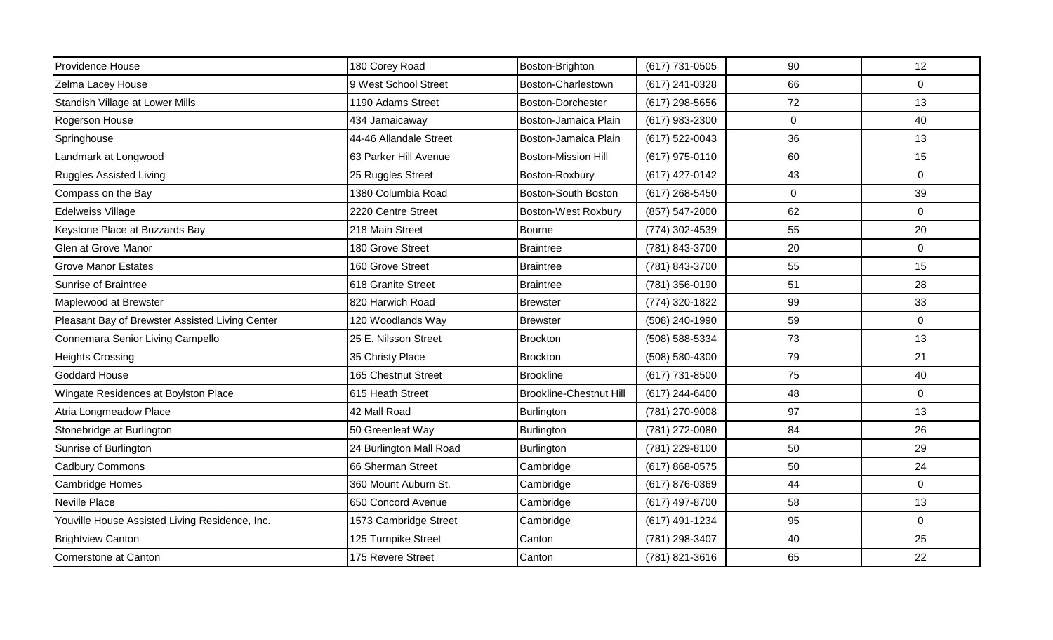| Providence House                                | 180 Corey Road          | Boston-Brighton                | (617) 731-0505   | 90             | 12             |
|-------------------------------------------------|-------------------------|--------------------------------|------------------|----------------|----------------|
|                                                 |                         |                                |                  |                |                |
| Zelma Lacey House                               | 9 West School Street    | Boston-Charlestown             | (617) 241-0328   | 66             | $\Omega$       |
| Standish Village at Lower Mills                 | 1190 Adams Street       | Boston-Dorchester              | $(617)$ 298-5656 | 72             | 13             |
| Rogerson House                                  | 434 Jamaicaway          | Boston-Jamaica Plain           | (617) 983-2300   | $\mathbf 0$    | 40             |
| Springhouse                                     | 44-46 Allandale Street  | Boston-Jamaica Plain           | (617) 522-0043   | 36             | 13             |
| Landmark at Longwood                            | 63 Parker Hill Avenue   | <b>Boston-Mission Hill</b>     | (617) 975-0110   | 60             | 15             |
| <b>Ruggles Assisted Living</b>                  | 25 Ruggles Street       | Boston-Roxbury                 | (617) 427-0142   | 43             | $\overline{0}$ |
| Compass on the Bay                              | 1380 Columbia Road      | Boston-South Boston            | (617) 268-5450   | $\overline{0}$ | 39             |
| <b>Edelweiss Village</b>                        | 2220 Centre Street      | <b>Boston-West Roxbury</b>     | (857) 547-2000   | 62             | $\overline{0}$ |
| Keystone Place at Buzzards Bay                  | 218 Main Street         | <b>Bourne</b>                  | (774) 302-4539   | 55             | 20             |
| Glen at Grove Manor                             | 180 Grove Street        | <b>Braintree</b>               | (781) 843-3700   | 20             | $\overline{0}$ |
| <b>Grove Manor Estates</b>                      | 160 Grove Street        | <b>Braintree</b>               | (781) 843-3700   | 55             | 15             |
| Sunrise of Braintree                            | 618 Granite Street      | <b>Braintree</b>               | (781) 356-0190   | 51             | 28             |
| Maplewood at Brewster                           | 820 Harwich Road        | <b>Brewster</b>                | (774) 320-1822   | 99             | 33             |
| Pleasant Bay of Brewster Assisted Living Center | 120 Woodlands Way       | <b>Brewster</b>                | (508) 240-1990   | 59             | $\overline{0}$ |
| Connemara Senior Living Campello                | 25 E. Nilsson Street    | <b>Brockton</b>                | (508) 588-5334   | 73             | 13             |
| <b>Heights Crossing</b>                         | 35 Christy Place        | Brockton                       | (508) 580-4300   | 79             | 21             |
| <b>Goddard House</b>                            | 165 Chestnut Street     | <b>Brookline</b>               | (617) 731-8500   | 75             | 40             |
| Wingate Residences at Boylston Place            | 615 Heath Street        | <b>Brookline-Chestnut Hill</b> | (617) 244-6400   | 48             | $\overline{0}$ |
| Atria Longmeadow Place                          | 42 Mall Road            | Burlington                     | (781) 270-9008   | 97             | 13             |
| Stonebridge at Burlington                       | 50 Greenleaf Way        | Burlington                     | (781) 272-0080   | 84             | 26             |
| Sunrise of Burlington                           | 24 Burlington Mall Road | Burlington                     | (781) 229-8100   | 50             | 29             |
| <b>Cadbury Commons</b>                          | 66 Sherman Street       | Cambridge                      | (617) 868-0575   | 50             | 24             |
| Cambridge Homes                                 | 360 Mount Auburn St.    | Cambridge                      | (617) 876-0369   | 44             | $\overline{0}$ |
| <b>Neville Place</b>                            | 650 Concord Avenue      | Cambridge                      | (617) 497-8700   | 58             | 13             |
| Youville House Assisted Living Residence, Inc.  | 1573 Cambridge Street   | Cambridge                      | (617) 491-1234   | 95             | 0              |
| <b>Brightview Canton</b>                        | 125 Turnpike Street     | Canton                         | (781) 298-3407   | 40             | 25             |
| Cornerstone at Canton                           | 175 Revere Street       | Canton                         | (781) 821-3616   | 65             | 22             |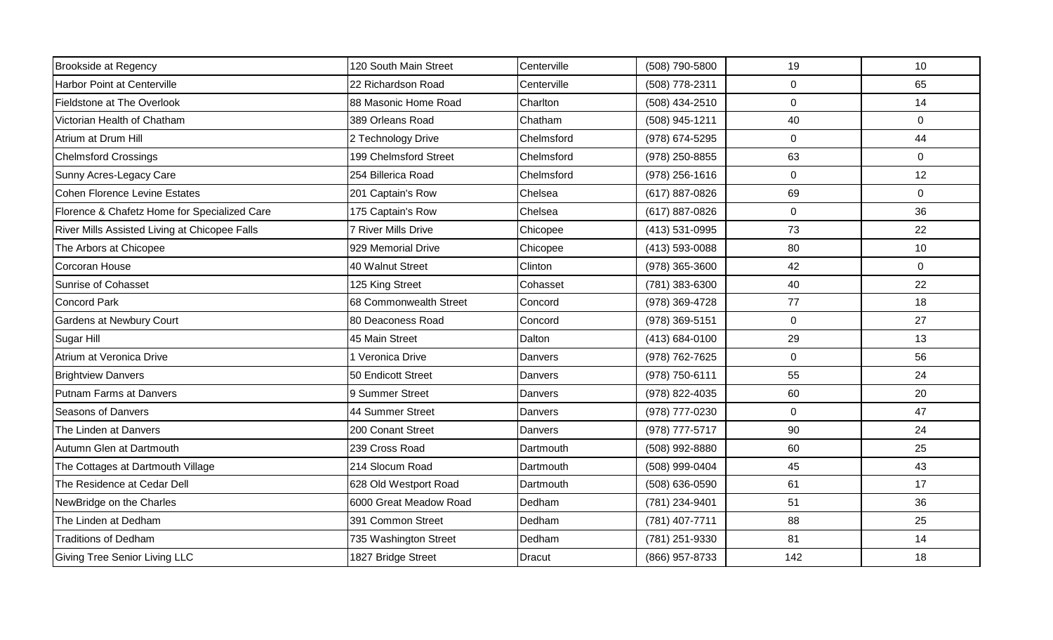| <b>Brookside at Regency</b>                   | 120 South Main Street  | Centerville    | (508) 790-5800   | 19               | 10             |
|-----------------------------------------------|------------------------|----------------|------------------|------------------|----------------|
| <b>Harbor Point at Centerville</b>            | 22 Richardson Road     | Centerville    | (508) 778-2311   | $\mathbf 0$      | 65             |
| Fieldstone at The Overlook                    | 88 Masonic Home Road   | Charlton       | (508) 434-2510   | 0                | 14             |
| Victorian Health of Chatham                   | 389 Orleans Road       | Chatham        | (508) 945-1211   | 40               | $\overline{0}$ |
| Atrium at Drum Hill                           | 2 Technology Drive     | Chelmsford     | (978) 674-5295   | $\boldsymbol{0}$ | 44             |
| <b>Chelmsford Crossings</b>                   | 199 Chelmsford Street  | Chelmsford     | (978) 250-8855   | 63               | $\overline{0}$ |
| Sunny Acres-Legacy Care                       | 254 Billerica Road     | Chelmsford     | $(978)$ 256-1616 | 0                | 12             |
| Cohen Florence Levine Estates                 | 201 Captain's Row      | Chelsea        | (617) 887-0826   | 69               | 0              |
| Florence & Chafetz Home for Specialized Care  | 175 Captain's Row      | Chelsea        | (617) 887-0826   | $\mathbf 0$      | 36             |
| River Mills Assisted Living at Chicopee Falls | 7 River Mills Drive    | Chicopee       | (413) 531-0995   | 73               | 22             |
| The Arbors at Chicopee                        | 929 Memorial Drive     | Chicopee       | (413) 593-0088   | 80               | 10             |
| Corcoran House                                | 40 Walnut Street       | Clinton        | (978) 365-3600   | 42               | $\Omega$       |
| Sunrise of Cohasset                           | 125 King Street        | Cohasset       | (781) 383-6300   | 40               | 22             |
| <b>Concord Park</b>                           | 68 Commonwealth Street | Concord        | (978) 369-4728   | 77               | 18             |
| Gardens at Newbury Court                      | 80 Deaconess Road      | Concord        | (978) 369-5151   | $\overline{0}$   | 27             |
| Sugar Hill                                    | 45 Main Street         | Dalton         | (413) 684-0100   | 29               | 13             |
| Atrium at Veronica Drive                      | 1 Veronica Drive       | Danvers        | (978) 762-7625   | $\boldsymbol{0}$ | 56             |
| <b>Brightview Danvers</b>                     | 50 Endicott Street     | <b>Danvers</b> | (978) 750-6111   | 55               | 24             |
| Putnam Farms at Danvers                       | 9 Summer Street        | Danvers        | (978) 822-4035   | 60               | 20             |
| <b>Seasons of Danvers</b>                     | 44 Summer Street       | Danvers        | (978) 777-0230   | $\mathbf 0$      | 47             |
| The Linden at Danvers                         | 200 Conant Street      | Danvers        | (978) 777-5717   | 90               | 24             |
| Autumn Glen at Dartmouth                      | 239 Cross Road         | Dartmouth      | (508) 992-8880   | 60               | 25             |
| The Cottages at Dartmouth Village             | 214 Slocum Road        | Dartmouth      | (508) 999-0404   | 45               | 43             |
| The Residence at Cedar Dell                   | 628 Old Westport Road  | Dartmouth      | (508) 636-0590   | 61               | 17             |
| NewBridge on the Charles                      | 6000 Great Meadow Road | Dedham         | (781) 234-9401   | 51               | 36             |
| The Linden at Dedham                          | 391 Common Street      | Dedham         | (781) 407-7711   | 88               | 25             |
| <b>Traditions of Dedham</b>                   | 735 Washington Street  | Dedham         | (781) 251-9330   | 81               | 14             |
| <b>Giving Tree Senior Living LLC</b>          | 1827 Bridge Street     | Dracut         | (866) 957-8733   | 142              | 18             |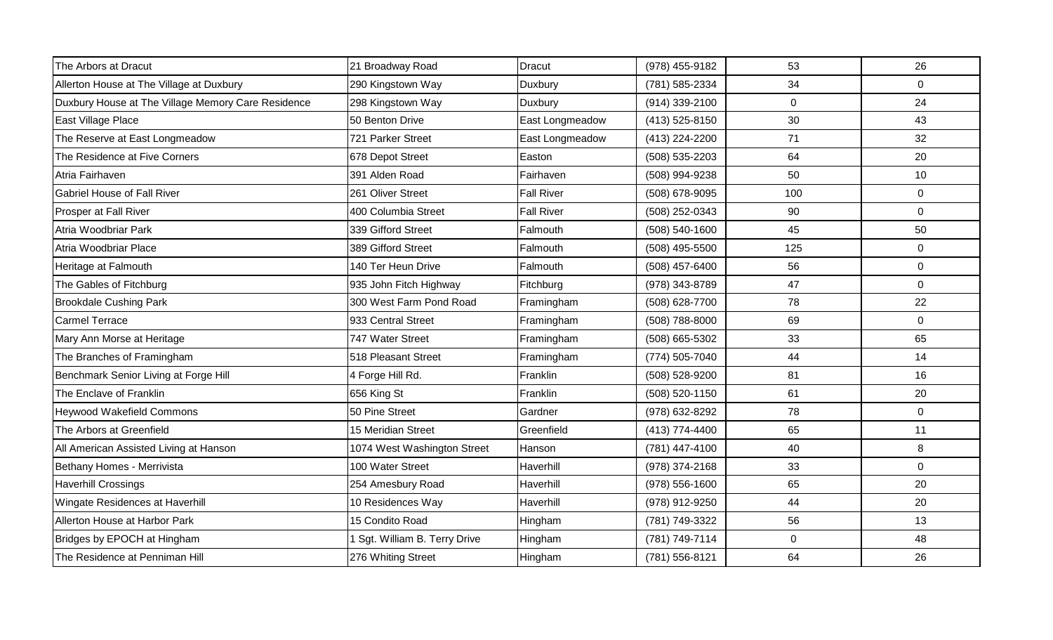| The Arbors at Dracut                               | 21 Broadway Road            | Dracut            | (978) 455-9182 | 53          | 26             |
|----------------------------------------------------|-----------------------------|-------------------|----------------|-------------|----------------|
| Allerton House at The Village at Duxbury           | 290 Kingstown Way           | Duxbury           | (781) 585-2334 | 34          | 0              |
| Duxbury House at The Village Memory Care Residence | 298 Kingstown Way           | <b>Duxbury</b>    | (914) 339-2100 | $\mathbf 0$ | 24             |
| East Village Place                                 | 50 Benton Drive             | East Longmeadow   | (413) 525-8150 | 30          | 43             |
| The Reserve at East Longmeadow                     | 721 Parker Street           | East Longmeadow   | (413) 224-2200 | 71          | 32             |
| The Residence at Five Corners                      | 678 Depot Street            | Easton            | (508) 535-2203 | 64          | 20             |
| Atria Fairhaven                                    | 391 Alden Road              | Fairhaven         | (508) 994-9238 | 50          | 10             |
| <b>Gabriel House of Fall River</b>                 | 261 Oliver Street           | <b>Fall River</b> | (508) 678-9095 | 100         | $\overline{0}$ |
| Prosper at Fall River                              | 400 Columbia Street         | <b>Fall River</b> | (508) 252-0343 | 90          | $\Omega$       |
| Atria Woodbriar Park                               | 339 Gifford Street          | Falmouth          | (508) 540-1600 | 45          | 50             |
| Atria Woodbriar Place                              | 389 Gifford Street          | Falmouth          | (508) 495-5500 | 125         | $\overline{0}$ |
| Heritage at Falmouth                               | 140 Ter Heun Drive          | Falmouth          | (508) 457-6400 | 56          | 0              |
| The Gables of Fitchburg                            | 935 John Fitch Highway      | Fitchburg         | (978) 343-8789 | 47          | $\overline{0}$ |
| <b>Brookdale Cushing Park</b>                      | 300 West Farm Pond Road     | Framingham        | (508) 628-7700 | 78          | 22             |
| <b>Carmel Terrace</b>                              | 933 Central Street          | Framingham        | (508) 788-8000 | 69          | $\Omega$       |
| Mary Ann Morse at Heritage                         | 747 Water Street            | Framingham        | (508) 665-5302 | 33          | 65             |
| The Branches of Framingham                         | 518 Pleasant Street         | Framingham        | (774) 505-7040 | 44          | 14             |
| Benchmark Senior Living at Forge Hill              | 4 Forge Hill Rd.            | Franklin          | (508) 528-9200 | 81          | 16             |
| The Enclave of Franklin                            | 656 King St                 | Franklin          | (508) 520-1150 | 61          | 20             |
| <b>Heywood Wakefield Commons</b>                   | 50 Pine Street              | Gardner           | (978) 632-8292 | 78          | 0              |
| The Arbors at Greenfield                           | 15 Meridian Street          | Greenfield        | (413) 774-4400 | 65          | 11             |
| All American Assisted Living at Hanson             | 1074 West Washington Street | Hanson            | (781) 447-4100 | 40          | 8              |
| Bethany Homes - Merrivista                         | 100 Water Street            | Haverhill         | (978) 374-2168 | 33          | $\overline{0}$ |
| <b>Haverhill Crossings</b>                         | 254 Amesbury Road           | Haverhill         | (978) 556-1600 | 65          | 20             |
| Wingate Residences at Haverhill                    | 10 Residences Way           | Haverhill         | (978) 912-9250 | 44          | 20             |
| Allerton House at Harbor Park                      | 15 Condito Road             | Hingham           | (781) 749-3322 | 56          | 13             |
| Bridges by EPOCH at Hingham                        | Sgt. William B. Terry Drive | Hingham           | (781) 749-7114 | $\mathbf 0$ | 48             |
| The Residence at Penniman Hill                     | 276 Whiting Street          | Hingham           | (781) 556-8121 | 64          | 26             |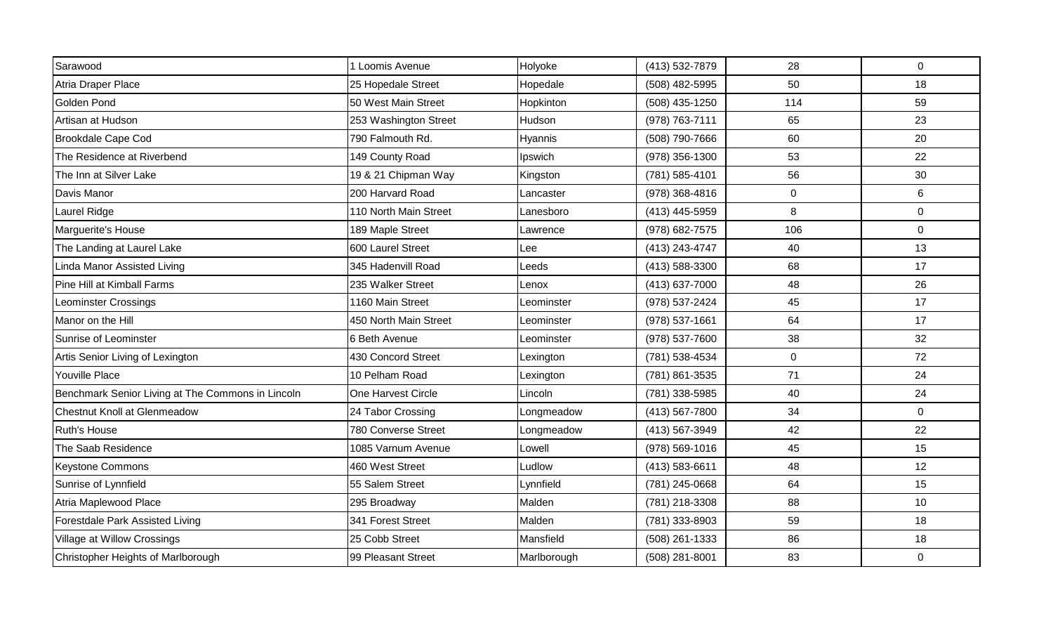| Sarawood                                          | 1 Loomis Avenue       | Holyoke     | (413) 532-7879 | 28        | $\mathbf 0$    |
|---------------------------------------------------|-----------------------|-------------|----------------|-----------|----------------|
| Atria Draper Place                                | 25 Hopedale Street    | Hopedale    | (508) 482-5995 | 50        | 18             |
| Golden Pond                                       | 50 West Main Street   | Hopkinton   | (508) 435-1250 | 114       | 59             |
| Artisan at Hudson                                 | 253 Washington Street | Hudson      | (978) 763-7111 | 65        | 23             |
| <b>Brookdale Cape Cod</b>                         | 790 Falmouth Rd.      | Hyannis     | (508) 790-7666 | 60        | 20             |
| The Residence at Riverbend                        | 149 County Road       | Ipswich     | (978) 356-1300 | 53        | 22             |
| The Inn at Silver Lake                            | 19 & 21 Chipman Way   | Kingston    | (781) 585-4101 | 56        | 30             |
| Davis Manor                                       | 200 Harvard Road      | Lancaster   | (978) 368-4816 | $\pmb{0}$ | 6              |
| Laurel Ridge                                      | 110 North Main Street | Lanesboro   | (413) 445-5959 | 8         | $\overline{0}$ |
| Marguerite's House                                | 189 Maple Street      | Lawrence    | (978) 682-7575 | 106       | $\mathbf 0$    |
| The Landing at Laurel Lake                        | 600 Laurel Street     | Lee         | (413) 243-4747 | 40        | 13             |
| <b>Linda Manor Assisted Living</b>                | 345 Hadenvill Road    | Leeds       | (413) 588-3300 | 68        | 17             |
| Pine Hill at Kimball Farms                        | 235 Walker Street     | Lenox       | (413) 637-7000 | 48        | 26             |
| Leominster Crossings                              | 1160 Main Street      | Leominster  | (978) 537-2424 | 45        | 17             |
| Manor on the Hill                                 | 450 North Main Street | Leominster  | (978) 537-1661 | 64        | 17             |
| Sunrise of Leominster                             | 6 Beth Avenue         | Leominster  | (978) 537-7600 | 38        | 32             |
| Artis Senior Living of Lexington                  | 430 Concord Street    | Lexington   | (781) 538-4534 | $\pmb{0}$ | 72             |
| Youville Place                                    | 10 Pelham Road        | Lexington   | (781) 861-3535 | 71        | 24             |
| Benchmark Senior Living at The Commons in Lincoln | One Harvest Circle    | Lincoln     | (781) 338-5985 | 40        | 24             |
| <b>Chestnut Knoll at Glenmeadow</b>               | 24 Tabor Crossing     | Longmeadow  | (413) 567-7800 | 34        | $\mathbf 0$    |
| <b>Ruth's House</b>                               | 780 Converse Street   | Longmeadow  | (413) 567-3949 | 42        | 22             |
| The Saab Residence                                | 1085 Varnum Avenue    | Lowell      | (978) 569-1016 | 45        | 15             |
| <b>Keystone Commons</b>                           | 460 West Street       | Ludlow      | (413) 583-6611 | 48        | 12             |
| Sunrise of Lynnfield                              | 55 Salem Street       | Lynnfield   | (781) 245-0668 | 64        | 15             |
| Atria Maplewood Place                             | 295 Broadway          | Malden      | (781) 218-3308 | 88        | 10             |
| Forestdale Park Assisted Living                   | 341 Forest Street     | Malden      | (781) 333-8903 | 59        | 18             |
| Village at Willow Crossings                       | 25 Cobb Street        | Mansfield   | (508) 261-1333 | 86        | 18             |
| Christopher Heights of Marlborough                | 99 Pleasant Street    | Marlborough | (508) 281-8001 | 83        | $\mathbf 0$    |
|                                                   |                       |             |                |           |                |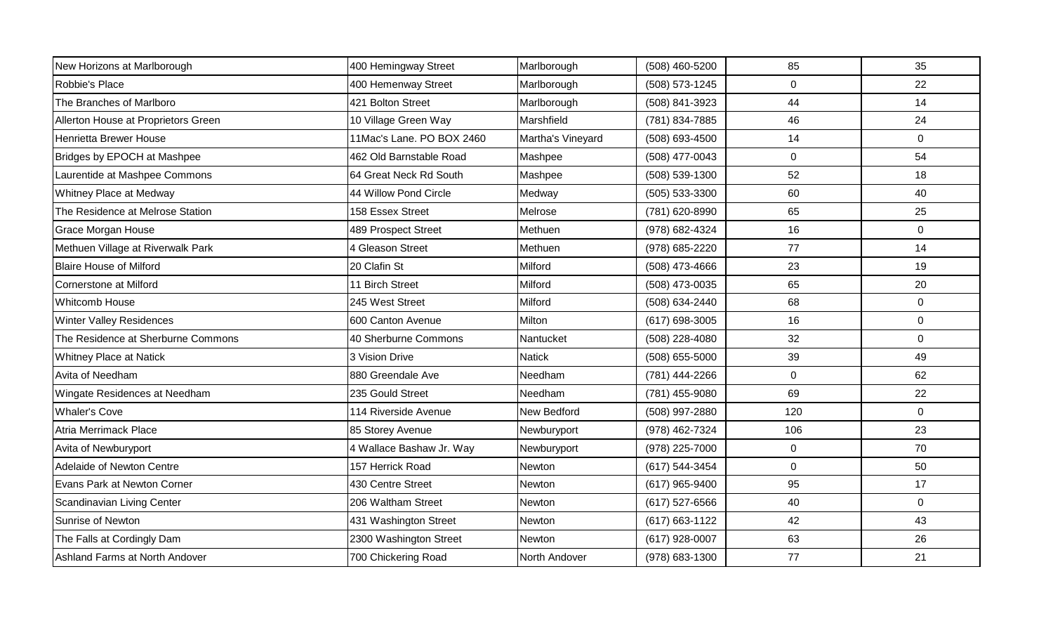| New Horizons at Marlborough         | 400 Hemingway Street      | Marlborough       | (508) 460-5200   | 85             | 35             |
|-------------------------------------|---------------------------|-------------------|------------------|----------------|----------------|
| Robbie's Place                      | 400 Hemenway Street       | Marlborough       | (508) 573-1245   | $\mathbf 0$    | 22             |
| The Branches of Marlboro            | 421 Bolton Street         | Marlborough       | (508) 841-3923   | 44             | 14             |
| Allerton House at Proprietors Green | 10 Village Green Way      | Marshfield        | (781) 834-7885   | 46             | 24             |
| Henrietta Brewer House              | 11Mac's Lane. PO BOX 2460 | Martha's Vineyard | (508) 693-4500   | 14             | $\mathbf 0$    |
| Bridges by EPOCH at Mashpee         | 462 Old Barnstable Road   | Mashpee           | (508) 477-0043   | $\mathbf 0$    | 54             |
| Laurentide at Mashpee Commons       | 64 Great Neck Rd South    | Mashpee           | (508) 539-1300   | 52             | 18             |
| Whitney Place at Medway             | 44 Willow Pond Circle     | Medway            | (505) 533-3300   | 60             | 40             |
| The Residence at Melrose Station    | 158 Essex Street          | Melrose           | (781) 620-8990   | 65             | 25             |
| Grace Morgan House                  | 489 Prospect Street       | Methuen           | (978) 682-4324   | 16             | $\overline{0}$ |
| Methuen Village at Riverwalk Park   | 4 Gleason Street          | Methuen           | (978) 685-2220   | 77             | 14             |
| <b>Blaire House of Milford</b>      | 20 Clafin St              | Milford           | (508) 473-4666   | 23             | 19             |
| Cornerstone at Milford              | 11 Birch Street           | Milford           | (508) 473-0035   | 65             | 20             |
| <b>Whitcomb House</b>               | 245 West Street           | Milford           | (508) 634-2440   | 68             | $\mathbf 0$    |
| <b>Winter Valley Residences</b>     | 600 Canton Avenue         | Milton            | (617) 698-3005   | 16             | $\mathbf 0$    |
| The Residence at Sherburne Commons  | 40 Sherburne Commons      | Nantucket         | (508) 228-4080   | 32             | $\mathbf 0$    |
| Whitney Place at Natick             | 3 Vision Drive            | <b>Natick</b>     | $(508)$ 655-5000 | 39             | 49             |
| Avita of Needham                    | 880 Greendale Ave         | <b>Needham</b>    | (781) 444-2266   | $\overline{0}$ | 62             |
| Wingate Residences at Needham       | 235 Gould Street          | Needham           | (781) 455-9080   | 69             | 22             |
| <b>Whaler's Cove</b>                | 114 Riverside Avenue      | New Bedford       | (508) 997-2880   | 120            | $\mathbf 0$    |
| Atria Merrimack Place               | 85 Storey Avenue          | Newburyport       | (978) 462-7324   | 106            | 23             |
| Avita of Newburyport                | 4 Wallace Bashaw Jr. Way  | Newburyport       | (978) 225-7000   | $\pmb{0}$      | 70             |
| Adelaide of Newton Centre           | 157 Herrick Road          | Newton            | (617) 544-3454   | $\mathbf 0$    | 50             |
| Evans Park at Newton Corner         | 430 Centre Street         | Newton            | (617) 965-9400   | 95             | 17             |
| Scandinavian Living Center          | 206 Waltham Street        | Newton            | $(617)$ 527-6566 | 40             | $\mathbf 0$    |
| Sunrise of Newton                   | 431 Washington Street     | Newton            | (617) 663-1122   | 42             | 43             |
| The Falls at Cordingly Dam          | 2300 Washington Street    | Newton            | (617) 928-0007   | 63             | 26             |
| Ashland Farms at North Andover      | 700 Chickering Road       | North Andover     | (978) 683-1300   | 77             | 21             |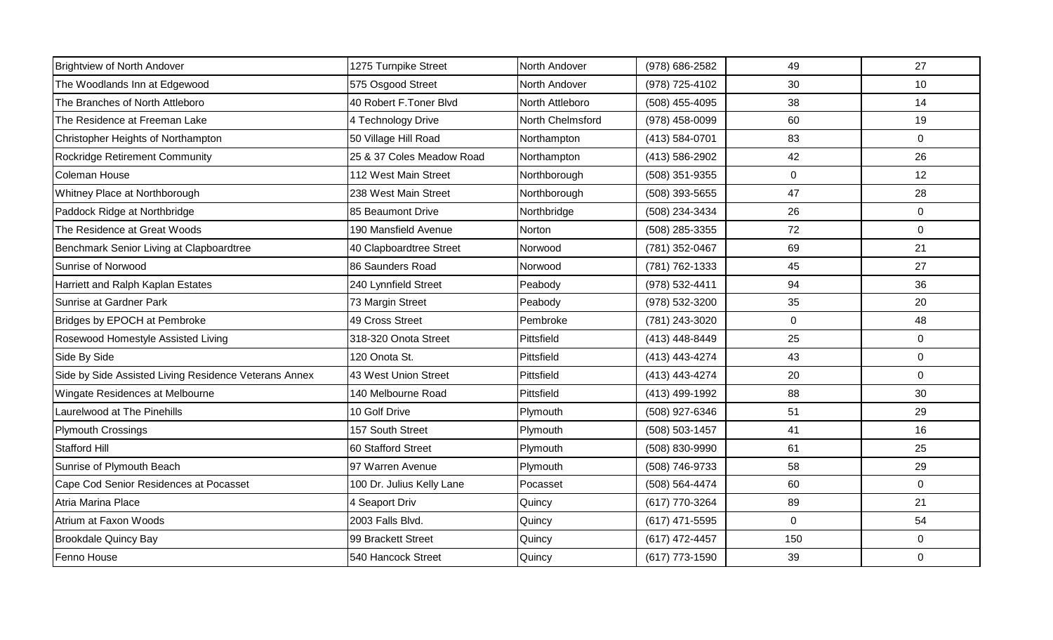| <b>Brightview of North Andover</b>                    | 1275 Turnpike Street      | North Andover    | (978) 686-2582 | 49             | 27             |
|-------------------------------------------------------|---------------------------|------------------|----------------|----------------|----------------|
| The Woodlands Inn at Edgewood                         | 575 Osgood Street         | North Andover    | (978) 725-4102 | 30             | 10             |
| The Branches of North Attleboro                       | 40 Robert F.Toner Blvd    | North Attleboro  | (508) 455-4095 | 38             | 14             |
| The Residence at Freeman Lake                         | 4 Technology Drive        | North Chelmsford | (978) 458-0099 | 60             | 19             |
| Christopher Heights of Northampton                    | 50 Village Hill Road      | Northampton      | (413) 584-0701 | 83             | $\mathbf 0$    |
| Rockridge Retirement Community                        | 25 & 37 Coles Meadow Road | Northampton      | (413) 586-2902 | 42             | 26             |
| Coleman House                                         | 112 West Main Street      | Northborough     | (508) 351-9355 | $\overline{0}$ | 12             |
| Whitney Place at Northborough                         | 238 West Main Street      | Northborough     | (508) 393-5655 | 47             | 28             |
| Paddock Ridge at Northbridge                          | 85 Beaumont Drive         | Northbridge      | (508) 234-3434 | 26             | $\overline{0}$ |
| The Residence at Great Woods                          | 190 Mansfield Avenue      | Norton           | (508) 285-3355 | 72             | $\overline{0}$ |
| Benchmark Senior Living at Clapboardtree              | 40 Clapboardtree Street   | Norwood          | (781) 352-0467 | 69             | 21             |
| Sunrise of Norwood                                    | 86 Saunders Road          | Norwood          | (781) 762-1333 | 45             | 27             |
| Harriett and Ralph Kaplan Estates                     | 240 Lynnfield Street      | Peabody          | (978) 532-4411 | 94             | 36             |
| Sunrise at Gardner Park                               | 73 Margin Street          | Peabody          | (978) 532-3200 | 35             | 20             |
| Bridges by EPOCH at Pembroke                          | 49 Cross Street           | Pembroke         | (781) 243-3020 | $\mathsf{O}$   | 48             |
| Rosewood Homestyle Assisted Living                    | 318-320 Onota Street      | Pittsfield       | (413) 448-8449 | 25             | $\overline{0}$ |
| Side By Side                                          | 120 Onota St.             | Pittsfield       | (413) 443-4274 | 43             | $\overline{0}$ |
| Side by Side Assisted Living Residence Veterans Annex | 43 West Union Street      | Pittsfield       | (413) 443-4274 | 20             | $\overline{0}$ |
| Wingate Residences at Melbourne                       | 140 Melbourne Road        | Pittsfield       | (413) 499-1992 | 88             | 30             |
| Laurelwood at The Pinehills                           | 10 Golf Drive             | Plymouth         | (508) 927-6346 | 51             | 29             |
| <b>Plymouth Crossings</b>                             | 157 South Street          | Plymouth         | (508) 503-1457 | 41             | 16             |
| <b>Stafford Hill</b>                                  | 60 Stafford Street        | Plymouth         | (508) 830-9990 | 61             | 25             |
| Sunrise of Plymouth Beach                             | 97 Warren Avenue          | Plymouth         | (508) 746-9733 | 58             | 29             |
| Cape Cod Senior Residences at Pocasset                | 100 Dr. Julius Kelly Lane | Pocasset         | (508) 564-4474 | 60             | $\mathbf 0$    |
| Atria Marina Place                                    | 4 Seaport Driv            | Quincy           | (617) 770-3264 | 89             | 21             |
| Atrium at Faxon Woods                                 | 2003 Falls Blvd.          | Quincy           | (617) 471-5595 | $\Omega$       | 54             |
| <b>Brookdale Quincy Bay</b>                           | 99 Brackett Street        | Quincy           | (617) 472-4457 | 150            | $\overline{0}$ |
| Fenno House                                           | 540 Hancock Street        | Quincy           | (617) 773-1590 | 39             | $\overline{0}$ |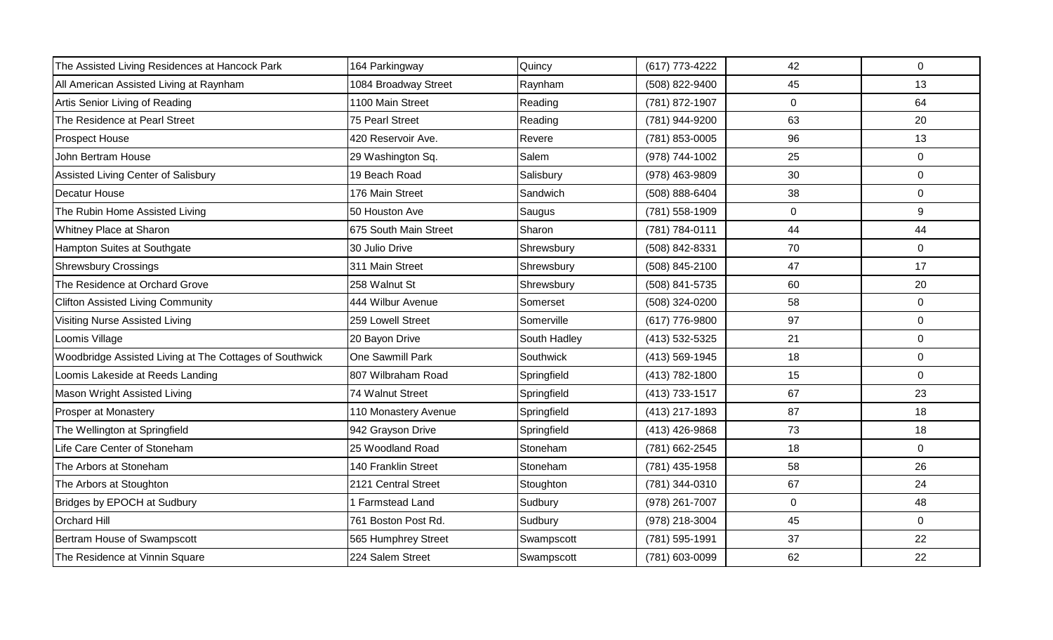| The Assisted Living Residences at Hancock Park          | 164 Parkingway        | Quincy       | (617) 773-4222 | 42          | $\mathbf 0$    |
|---------------------------------------------------------|-----------------------|--------------|----------------|-------------|----------------|
| All American Assisted Living at Raynham                 | 1084 Broadway Street  | Raynham      | (508) 822-9400 | 45          | 13             |
| Artis Senior Living of Reading                          | 1100 Main Street      | Reading      | (781) 872-1907 | $\mathbf 0$ | 64             |
| The Residence at Pearl Street                           | 75 Pearl Street       | Reading      | (781) 944-9200 | 63          | 20             |
| <b>Prospect House</b>                                   | 420 Reservoir Ave.    | Revere       | (781) 853-0005 | 96          | 13             |
| John Bertram House                                      | 29 Washington Sq.     | Salem        | (978) 744-1002 | 25          | 0              |
| Assisted Living Center of Salisbury                     | 19 Beach Road         | Salisbury    | (978) 463-9809 | 30          | 0              |
| Decatur House                                           | 176 Main Street       | Sandwich     | (508) 888-6404 | 38          | 0              |
| The Rubin Home Assisted Living                          | 50 Houston Ave        | Saugus       | (781) 558-1909 | $\mathbf 0$ | 9              |
| Whitney Place at Sharon                                 | 675 South Main Street | Sharon       | (781) 784-0111 | 44          | 44             |
| Hampton Suites at Southgate                             | 30 Julio Drive        | Shrewsbury   | (508) 842-8331 | 70          | $\mathbf 0$    |
| <b>Shrewsbury Crossings</b>                             | 311 Main Street       | Shrewsbury   | (508) 845-2100 | 47          | 17             |
| The Residence at Orchard Grove                          | 258 Walnut St         | Shrewsbury   | (508) 841-5735 | 60          | 20             |
| <b>Clifton Assisted Living Community</b>                | 444 Wilbur Avenue     | Somerset     | (508) 324-0200 | 58          | $\mathbf 0$    |
| Visiting Nurse Assisted Living                          | 259 Lowell Street     | Somerville   | (617) 776-9800 | 97          | $\overline{0}$ |
| Loomis Village                                          | 20 Bayon Drive        | South Hadley | (413) 532-5325 | 21          | $\mathbf 0$    |
| Woodbridge Assisted Living at The Cottages of Southwick | One Sawmill Park      | Southwick    | (413) 569-1945 | 18          | 0              |
| Loomis Lakeside at Reeds Landing                        | 807 Wilbraham Road    | Springfield  | (413) 782-1800 | 15          | $\Omega$       |
| Mason Wright Assisted Living                            | 74 Walnut Street      | Springfield  | (413) 733-1517 | 67          | 23             |
| Prosper at Monastery                                    | 110 Monastery Avenue  | Springfield  | (413) 217-1893 | 87          | 18             |
| The Wellington at Springfield                           | 942 Grayson Drive     | Springfield  | (413) 426-9868 | 73          | 18             |
| Life Care Center of Stoneham                            | 25 Woodland Road      | Stoneham     | (781) 662-2545 | 18          | 0              |
| The Arbors at Stoneham                                  | 140 Franklin Street   | Stoneham     | (781) 435-1958 | 58          | 26             |
| The Arbors at Stoughton                                 | 2121 Central Street   | Stoughton    | (781) 344-0310 | 67          | 24             |
| Bridges by EPOCH at Sudbury                             | 1 Farmstead Land      | Sudbury      | (978) 261-7007 | $\mathbf 0$ | 48             |
| <b>Orchard Hill</b>                                     | 761 Boston Post Rd.   | Sudbury      | (978) 218-3004 | 45          | 0              |
| Bertram House of Swampscott                             | 565 Humphrey Street   | Swampscott   | (781) 595-1991 | 37          | 22             |
| The Residence at Vinnin Square                          | 224 Salem Street      | Swampscott   | (781) 603-0099 | 62          | 22             |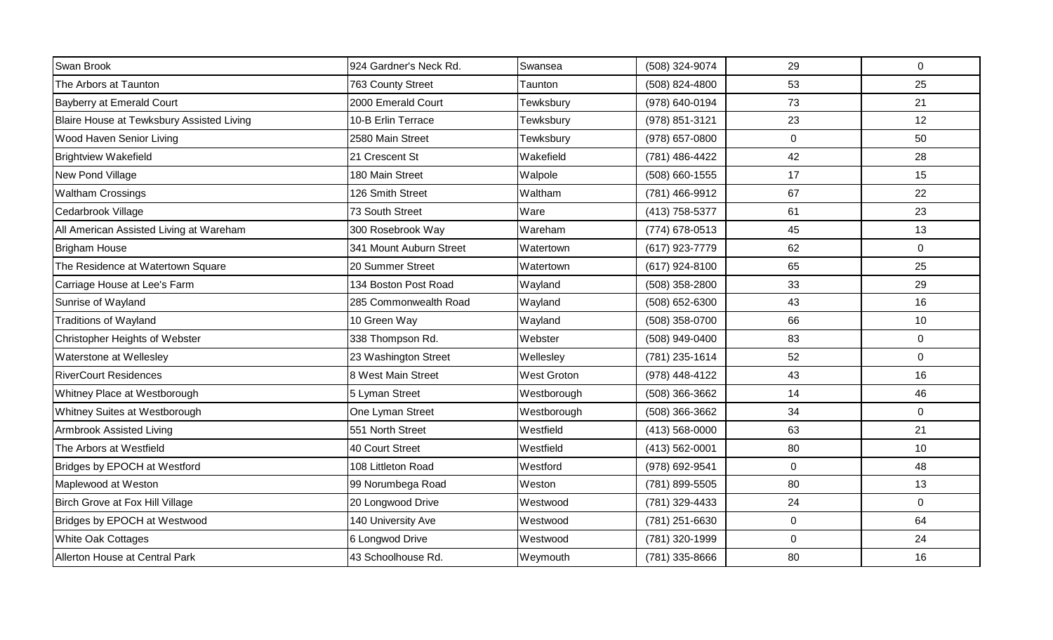| 924 Gardner's Neck Rd.  | Swansea     | (508) 324-9074 | 29          | $\mathbf 0$ |
|-------------------------|-------------|----------------|-------------|-------------|
| 763 County Street       | Taunton     | (508) 824-4800 | 53          | 25          |
| 2000 Emerald Court      | Tewksbury   | (978) 640-0194 | 73          | 21          |
| 10-B Erlin Terrace      | Tewksbury   | (978) 851-3121 | 23          | 12          |
| 2580 Main Street        | Tewksbury   | (978) 657-0800 | $\mathbf 0$ | 50          |
| 21 Crescent St          | Wakefield   | (781) 486-4422 | 42          | 28          |
| 180 Main Street         | Walpole     | (508) 660-1555 | 17          | 15          |
| 126 Smith Street        | Waltham     | (781) 466-9912 | 67          | 22          |
| 73 South Street         | Ware        | (413) 758-5377 | 61          | 23          |
| 300 Rosebrook Way       | Wareham     | (774) 678-0513 | 45          | 13          |
| 341 Mount Auburn Street | Watertown   | (617) 923-7779 | 62          | $\mathbf 0$ |
| 20 Summer Street        | Watertown   | (617) 924-8100 | 65          | 25          |
| 134 Boston Post Road    | Wayland     | (508) 358-2800 | 33          | 29          |
| 285 Commonwealth Road   | Wayland     | (508) 652-6300 | 43          | 16          |
| 10 Green Way            | Wayland     | (508) 358-0700 | 66          | 10          |
| 338 Thompson Rd.        | Webster     | (508) 949-0400 | 83          | $\mathbf 0$ |
| 23 Washington Street    | Wellesley   | (781) 235-1614 | 52          | $\mathbf 0$ |
| 8 West Main Street      | West Groton | (978) 448-4122 | 43          | 16          |
| 5 Lyman Street          | Westborough | (508) 366-3662 | 14          | 46          |
| One Lyman Street        | Westborough | (508) 366-3662 | 34          | $\mathbf 0$ |
| 551 North Street        | Westfield   | (413) 568-0000 | 63          | 21          |
| 40 Court Street         | Westfield   | (413) 562-0001 | 80          | 10          |
| 108 Littleton Road      | Westford    | (978) 692-9541 | $\pmb{0}$   | 48          |
| 99 Norumbega Road       | Weston      | (781) 899-5505 | 80          | 13          |
| 20 Longwood Drive       | Westwood    | (781) 329-4433 | 24          | $\mathbf 0$ |
| 140 University Ave      | Westwood    | (781) 251-6630 | $\pmb{0}$   | 64          |
| 6 Longwod Drive         | Westwood    | (781) 320-1999 | $\mathbf 0$ | 24          |
| 43 Schoolhouse Rd.      | Weymouth    | (781) 335-8666 | 80          | 16          |
|                         |             |                |             |             |